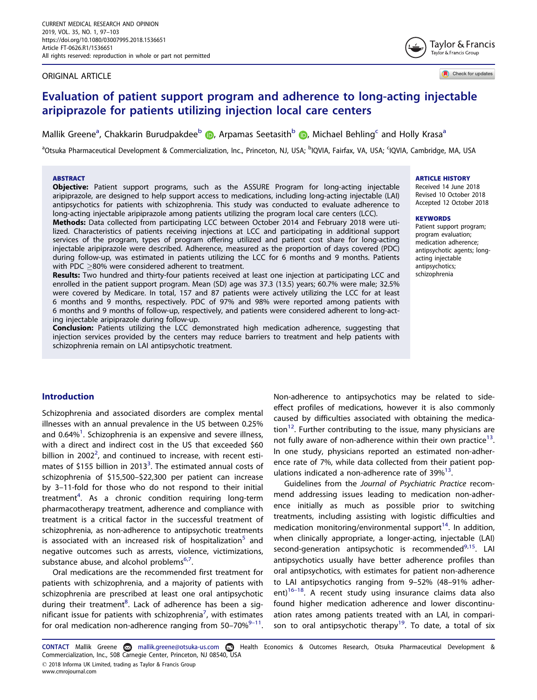#### <span id="page-0-0"></span>ORIGINAL ARTICLE

Check for updates

Taylor & Francis Taylor & Francis Group

ARTICLE HISTORY Received 14 June 2018 Revised 10 October 2018 Accepted 12 October 2018

Patient support program; program evaluation; medication adherence; antipsychotic agents; longacting injectable antipsychotics; schizophrenia

**KEYWORDS** 

## Evaluation of patient support program and adherence to long-acting injectable aripiprazole for patients utilizing injection local care centers

Mallik Greene<sup>a</sup>[,](http://orcid.org/0000-0003-4821-6794) Chakkarin Burudpakdee<sup>b</sup> (D, Arpamas Seetasith<sup>b</sup> (D, Michael Behling<sup>c</sup> and Holly Krasa<sup>a</sup>

<sup>a</sup>Otsuka Pharmaceutical Development & Commercialization, Inc., Princeton, NJ, USA; <sup>b</sup>IQVIA, Fairfax, VA, USA; <sup>c</sup>IQVIA, Cambridge, MA, USA

## **ABSTRACT**

**Objective:** Patient support programs, such as the ASSURE Program for long-acting injectable aripiprazole, are designed to help support access to medications, including long-acting injectable (LAI) antipsychotics for patients with schizophrenia. This study was conducted to evaluate adherence to long-acting injectable aripiprazole among patients utilizing the program local care centers (LCC).

Methods: Data collected from participating LCC between October 2014 and February 2018 were utilized. Characteristics of patients receiving injections at LCC and participating in additional support services of the program, types of program offering utilized and patient cost share for long-acting injectable aripiprazole were described. Adherence, measured as the proportion of days covered (PDC) during follow-up, was estimated in patients utilizing the LCC for 6 months and 9 months. Patients with PDC  $>$ 80% were considered adherent to treatment.

Results: Two hundred and thirty-four patients received at least one injection at participating LCC and enrolled in the patient support program. Mean (SD) age was 37.3 (13.5) years; 60.7% were male; 32.5% were covered by Medicare. In total, 157 and 87 patients were actively utilizing the LCC for at least 6 months and 9 months, respectively. PDC of 97% and 98% were reported among patients with 6 months and 9 months of follow-up, respectively, and patients were considered adherent to long-acting injectable aripiprazole during follow-up.

Conclusion: Patients utilizing the LCC demonstrated high medication adherence, suggesting that injection services provided by the centers may reduce barriers to treatment and help patients with schizophrenia remain on LAI antipsychotic treatment.

## Introduction

Schizophrenia and associated disorders are complex mental illnesses with an annual prevalence in the US between 0.25% and 0.64 $\% ^{1}$ . Schizophrenia is an expensive and severe illness, with a direct and indirect cost in the US that exceeded \$60 billion in [2](#page-5-0)002<sup>2</sup>, and continued to increase, with recent esti-mates of \$155 billion in 201[3](#page-5-0)<sup>3</sup>. The estimated annual costs of schizophrenia of \$15,500–\$22,300 per patient can increase by 3–11-fold for those who do not respond to their initial treatment<sup>[4](#page-5-0)</sup>. As a chronic condition requiring long-term pharmacotherapy treatment, adherence and compliance with treatment is a critical factor in the successful treatment of schizophrenia, as non-adherence to antipsychotic treatments is associated with an increased risk of hospitalization<sup>[5](#page-5-0)</sup> and negative outcomes such as arrests, violence, victimizations, substance abuse, and alcohol problems<sup>6,[7](#page-5-0)</sup>.

Oral medications are the recommended first treatment for patients with schizophrenia, and a majority of patients with schizophrenia are prescribed at least one oral antipsychotic during their treatment<sup>[8](#page-6-0)</sup>. Lack of adherence has been a sig-nificant issue for patients with schizophrenia<sup>[7](#page-5-0)</sup>, with estimates for oral medication non-adherence ranging from  $50-70\%^{9-11}$ . Non-adherence to antipsychotics may be related to sideeffect profiles of medications, however it is also commonly caused by difficulties associated with obtaining the medication<sup>12</sup>. Further contributing to the issue, many physicians are not fully aware of non-adherence within their own practice<sup>13</sup>. In one study, physicians reported an estimated non-adherence rate of 7%, while data collected from their patient populations indicated a non-adherence rate of  $39\%^{13}$  $39\%^{13}$  $39\%^{13}$ .

Guidelines from the Journal of Psychiatric Practice recommend addressing issues leading to medication non-adherence initially as much as possible prior to switching treatments, including assisting with logistic difficulties and medication monitoring/environmental support<sup>14</sup>. In addition, when clinically appropriate, a longer-acting, injectable (LAI) second-generation antipsychotic is recommended<sup>[9](#page-6-0),[15](#page-6-0)</sup>. LAI antipsychotics usually have better adherence profiles than oral antipsychotics, with estimates for patient non-adherence to LAI antipsychotics ranging from 9–52% (48–91% adherent) $16-18$ . A recent study using insurance claims data also found higher medication adherence and lower discontinu-son to oral antipsychotic therapy<sup>[19](#page-6-0)</sup>. To date, a total of six

# ation rates among patients treated with an LAI, in compari-

CONTACT Mallik Greene mallik.greene@otsuka-us.com Health Economics & Outcomes Research, Otsuka Pharmaceutical Development & Commercialization, Inc., 508 Carnegie Center, Princeton, NJ 08540, USA 2018 Informa UK Limited, trading as Taylor & Francis Group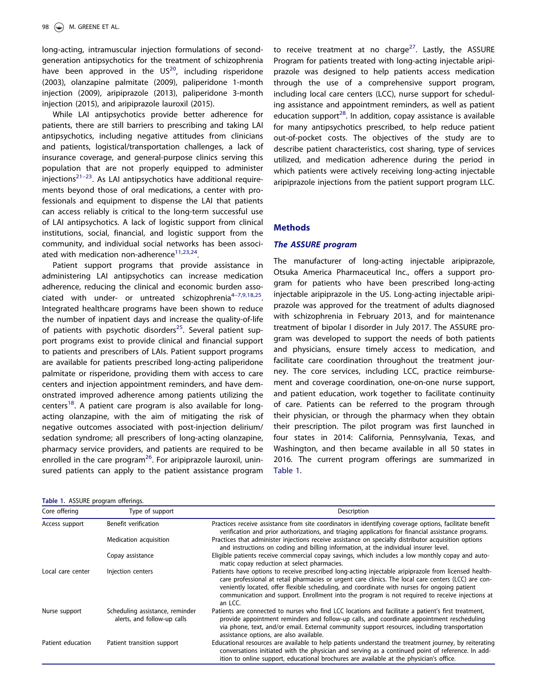<span id="page-1-0"></span>long-acting, intramuscular injection formulations of secondgeneration antipsychotics for the treatment of schizophrenia have been approved in the  $US^{20}$  $US^{20}$  $US^{20}$ , including risperidone (2003), olanzapine palmitate (2009), paliperidone 1-month injection (2009), aripiprazole (2013), paliperidone 3-month injection (2015), and aripiprazole lauroxil (2015).

While LAI antipsychotics provide better adherence for patients, there are still barriers to prescribing and taking LAI antipsychotics, including negative attitudes from clinicians and patients, logistical/transportation challenges, a lack of insurance coverage, and general-purpose clinics serving this population that are not properly equipped to administer injections $21-23$ . As LAI antipsychotics have additional requirements beyond those of oral medications, a center with professionals and equipment to dispense the LAI that patients can access reliably is critical to the long-term successful use of LAI antipsychotics. A lack of logistic support from clinical institutions, social, financial, and logistic support from the community, and individual social networks has been associated with medication non-adherence<sup>11,23,24</sup>.

Patient support programs that provide assistance in administering LAI antipsychotics can increase medication adherence, reducing the clinical and economic burden associated with under- or untreated schizophrenia $4-7,9,18,25$ . Integrated healthcare programs have been shown to reduce the number of inpatient days and increase the quality-of-life of patients with psychotic disorders<sup>[25](#page-6-0)</sup>. Several patient support programs exist to provide clinical and financial support to patients and prescribers of LAIs. Patient support programs are available for patients prescribed long-acting paliperidone palmitate or risperidone, providing them with access to care centers and injection appointment reminders, and have demonstrated improved adherence among patients utilizing the centers<sup>[18](#page-6-0)</sup>. A patient care program is also available for longacting olanzapine, with the aim of mitigating the risk of negative outcomes associated with post-injection delirium/ sedation syndrome; all prescribers of long-acting olanzapine, pharmacy service providers, and patients are required to be enrolled in the care program<sup>26</sup>. For aripiprazole lauroxil, uninsured patients can apply to the patient assistance program

|  |  | Table 1. ASSURE program offerings. |
|--|--|------------------------------------|
|  |  |                                    |

to receive treatment at no charge<sup>27</sup>. Lastly, the ASSURE Program for patients treated with long-acting injectable aripiprazole was designed to help patients access medication through the use of a comprehensive support program, including local care centers (LCC), nurse support for scheduling assistance and appointment reminders, as well as patient education support $^{28}$ . In addition, copay assistance is available for many antipsychotics prescribed, to help reduce patient out-of-pocket costs. The objectives of the study are to describe patient characteristics, cost sharing, type of services utilized, and medication adherence during the period in which patients were actively receiving long-acting injectable aripiprazole injections from the patient support program LLC.

## Methods

## The ASSURE program

The manufacturer of long-acting injectable aripiprazole, Otsuka America Pharmaceutical Inc., offers a support program for patients who have been prescribed long-acting injectable aripiprazole in the US. Long-acting injectable aripiprazole was approved for the treatment of adults diagnosed with schizophrenia in February 2013, and for maintenance treatment of bipolar I disorder in July 2017. The ASSURE program was developed to support the needs of both patients and physicians, ensure timely access to medication, and facilitate care coordination throughout the treatment journey. The core services, including LCC, practice reimbursement and coverage coordination, one-on-one nurse support, and patient education, work together to facilitate continuity of care. Patients can be referred to the program through their physician, or through the pharmacy when they obtain their prescription. The pilot program was first launched in four states in 2014: California, Pennsylvania, Texas, and Washington, and then became available in all 50 states in 2016. The current program offerings are summarized in Table 1.

| Table 1. ASSURE program offerings. |                                                                |                                                                                                                                                                                                                                                                                                                                                                                                                             |
|------------------------------------|----------------------------------------------------------------|-----------------------------------------------------------------------------------------------------------------------------------------------------------------------------------------------------------------------------------------------------------------------------------------------------------------------------------------------------------------------------------------------------------------------------|
| Core offering                      | Type of support                                                | Description                                                                                                                                                                                                                                                                                                                                                                                                                 |
| Access support                     | Benefit verification                                           | Practices receive assistance from site coordinators in identifying coverage options, facilitate benefit<br>verification and prior authorizations, and triaging applications for financial assistance programs.                                                                                                                                                                                                              |
|                                    | Medication acquisition                                         | Practices that administer injections receive assistance on specialty distributor acquisition options<br>and instructions on coding and billing information, at the individual insurer level.                                                                                                                                                                                                                                |
|                                    | Copay assistance                                               | Eligible patients receive commercial copay savings, which includes a low monthly copay and auto-<br>matic copay reduction at select pharmacies.                                                                                                                                                                                                                                                                             |
| Local care center                  | Injection centers                                              | Patients have options to receive prescribed long-acting injectable aripiprazole from licensed health-<br>care professional at retail pharmacies or urgent care clinics. The local care centers (LCC) are con-<br>veniently located, offer flexible scheduling, and coordinate with nurses for ongoing patient<br>communication and support. Enrollment into the program is not required to receive injections at<br>an LCC. |
| Nurse support                      | Scheduling assistance, reminder<br>alerts, and follow-up calls | Patients are connected to nurses who find LCC locations and facilitate a patient's first treatment,<br>provide appointment reminders and follow-up calls, and coordinate appointment rescheduling<br>via phone, text, and/or email. External community support resources, including transportation<br>assistance options, are also available.                                                                               |
| Patient education                  | Patient transition support                                     | Educational resources are available to help patients understand the treatment journey, by reiterating<br>conversations initiated with the physician and serving as a continued point of reference. In add-<br>ition to online support, educational brochures are available at the physician's office.                                                                                                                       |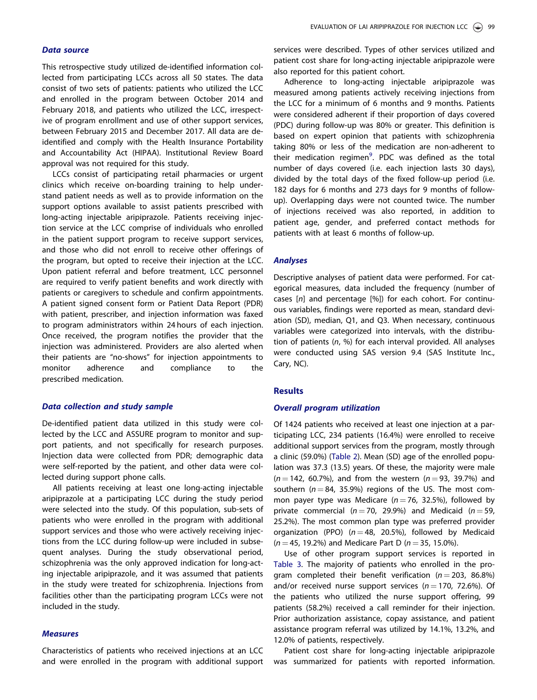#### Data source

This retrospective study utilized de-identified information collected from participating LCCs across all 50 states. The data consist of two sets of patients: patients who utilized the LCC and enrolled in the program between October 2014 and February 2018, and patients who utilized the LCC, irrespective of program enrollment and use of other support services, between February 2015 and December 2017. All data are deidentified and comply with the Health Insurance Portability and Accountability Act (HIPAA). Institutional Review Board approval was not required for this study.

LCCs consist of participating retail pharmacies or urgent clinics which receive on-boarding training to help understand patient needs as well as to provide information on the support options available to assist patients prescribed with long-acting injectable aripiprazole. Patients receiving injection service at the LCC comprise of individuals who enrolled in the patient support program to receive support services, and those who did not enroll to receive other offerings of the program, but opted to receive their injection at the LCC. Upon patient referral and before treatment, LCC personnel are required to verify patient benefits and work directly with patients or caregivers to schedule and confirm appointments. A patient signed consent form or Patient Data Report (PDR) with patient, prescriber, and injection information was faxed to program administrators within 24 hours of each injection. Once received, the program notifies the provider that the injection was administered. Providers are also alerted when their patients are "no-shows" for injection appointments to monitor adherence and compliance to the prescribed medication.

## Data collection and study sample

De-identified patient data utilized in this study were collected by the LCC and ASSURE program to monitor and support patients, and not specifically for research purposes. Injection data were collected from PDR; demographic data were self-reported by the patient, and other data were collected during support phone calls.

All patients receiving at least one long-acting injectable aripiprazole at a participating LCC during the study period were selected into the study. Of this population, sub-sets of patients who were enrolled in the program with additional support services and those who were actively receiving injections from the LCC during follow-up were included in subsequent analyses. During the study observational period, schizophrenia was the only approved indication for long-acting injectable aripiprazole, and it was assumed that patients in the study were treated for schizophrenia. Injections from facilities other than the participating program LCCs were not included in the study.

## **Measures**

Characteristics of patients who received injections at an LCC and were enrolled in the program with additional support services were described. Types of other services utilized and patient cost share for long-acting injectable aripiprazole were also reported for this patient cohort.

Adherence to long-acting injectable aripiprazole was measured among patients actively receiving injections from the LCC for a minimum of 6 months and 9 months. Patients were considered adherent if their proportion of days covered (PDC) during follow-up was 80% or greater. This definition is based on expert opinion that patients with schizophrenia taking 80% or less of the medication are non-adherent to their medication regimen<sup>[9](#page-6-0)</sup>. PDC was defined as the total number of days covered (i.e. each injection lasts 30 days), divided by the total days of the fixed follow-up period (i.e. 182 days for 6 months and 273 days for 9 months of followup). Overlapping days were not counted twice. The number of injections received was also reported, in addition to patient age, gender, and preferred contact methods for patients with at least 6 months of follow-up.

#### Analyses

Descriptive analyses of patient data were performed. For categorical measures, data included the frequency (number of cases [n] and percentage [%]) for each cohort. For continuous variables, findings were reported as mean, standard deviation (SD), median, Q1, and Q3. When necessary, continuous variables were categorized into intervals, with the distribution of patients  $(n, %)$  for each interval provided. All analyses were conducted using SAS version 9.4 (SAS Institute Inc., Cary, NC).

## **Results**

#### Overall program utilization

Of 1424 patients who received at least one injection at a participating LCC, 234 patients (16.4%) were enrolled to receive additional support services from the program, mostly through a clinic (59.0%) [\(Table 2\)](#page-3-0). Mean (SD) age of the enrolled population was 37.3 (13.5) years. Of these, the majority were male  $(n = 142, 60.7\%)$ , and from the western  $(n = 93, 39.7\%)$  and southern ( $n = 84$ , 35.9%) regions of the US. The most common payer type was Medicare ( $n = 76$ , 32.5%), followed by private commercial ( $n = 70$ , 29.9%) and Medicaid ( $n = 59$ , 25.2%). The most common plan type was preferred provider organization (PPO) ( $n = 48$ , 20.5%), followed by Medicaid  $(n = 45, 19.2\%)$  and Medicare Part D  $(n = 35, 15.0\%).$ 

Use of other program support services is reported in [Table 3.](#page-3-0) The majority of patients who enrolled in the program completed their benefit verification ( $n = 203$ , 86.8%) and/or received nurse support services ( $n = 170$ , 72.6%). Of the patients who utilized the nurse support offering, 99 patients (58.2%) received a call reminder for their injection. Prior authorization assistance, copay assistance, and patient assistance program referral was utilized by 14.1%, 13.2%, and 12.0% of patients, respectively.

Patient cost share for long-acting injectable aripiprazole was summarized for patients with reported information.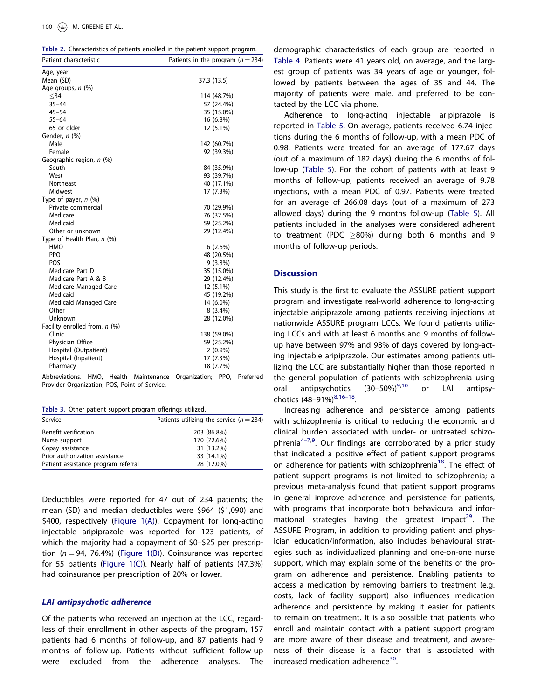<span id="page-3-0"></span>

| Table 2. Characteristics of patients enrolled in the patient support program. |
|-------------------------------------------------------------------------------|
|                                                                               |

| Patient characteristic        | Patients in the program ( $n = 234$ ) |
|-------------------------------|---------------------------------------|
| Age, year                     |                                       |
| Mean (SD)                     | 37.3 (13.5)                           |
| Age groups, $n$ (%)           |                                       |
| $34$                          | 114 (48.7%)                           |
| $35 - 44$                     | 57 (24.4%)                            |
| $45 - 54$                     | 35 (15.0%)                            |
| $55 - 64$                     | 16 (6.8%)                             |
| 65 or older                   | 12 (5.1%)                             |
| Gender, n (%)                 |                                       |
| Male                          | 142 (60.7%)                           |
| Female                        | 92 (39.3%)                            |
| Geographic region, $n$ (%)    |                                       |
| South                         | 84 (35.9%)                            |
| West                          | 93 (39.7%)                            |
| Northeast                     | 40 (17.1%)                            |
| Midwest                       | 17 (7.3%)                             |
| Type of payer, $n$ (%)        |                                       |
| Private commercial            | 70 (29.9%)                            |
| Medicare                      | 76 (32.5%)                            |
| Medicaid                      | 59 (25.2%)                            |
| Other or unknown              | 29 (12.4%)                            |
| Type of Health Plan, n (%)    |                                       |
| HMO                           | 6(2.6%)                               |
| PPO                           | 48 (20.5%)                            |
| POS                           | $9(3.8\%)$                            |
| Medicare Part D               | 35 (15.0%)                            |
| Medicare Part A & B           | 29 (12.4%)                            |
| Medicare Managed Care         | 12 (5.1%)                             |
| Medicaid                      | 45 (19.2%)                            |
| Medicaid Managed Care         | 14 (6.0%)                             |
| Other                         | $8(3.4\%)$                            |
| Unknown                       | 28 (12.0%)                            |
| Facility enrolled from, n (%) |                                       |
| Clinic                        | 138 (59.0%)                           |
| Physician Office              | 59 (25.2%)                            |
| Hospital (Outpatient)         | $2(0.9\%)$                            |
| Hospital (Inpatient)          | 17 (7.3%)                             |
| Pharmacy                      | 18 (7.7%)                             |

Abbreviations. HMO, Health Maintenance Organization; PPO, Preferred Provider Organization; POS, Point of Service.

Table 3. Other patient support program offerings utilized.

| Service                             | Patients utilizing the service ( $n = 234$ ) |
|-------------------------------------|----------------------------------------------|
| Benefit verification                | 203 (86.8%)                                  |
| Nurse support                       | 170 (72.6%)                                  |
| Copay assistance                    | 31 (13.2%)                                   |
| Prior authorization assistance      | 33 (14.1%)                                   |
| Patient assistance program referral | 28 (12.0%)                                   |

Deductibles were reported for 47 out of 234 patients; the mean (SD) and median deductibles were \$964 (\$1,090) and \$400, respectively [\(Figure 1\(A\)\)](#page-4-0). Copayment for long-acting injectable aripiprazole was reported for 123 patients, of which the majority had a copayment of \$0–\$25 per prescription ( $n = 94$ , 76.4%) [\(Figure 1\(B\)](#page-4-0)). Coinsurance was reported for 55 patients ([Figure 1\(C\)](#page-4-0)). Nearly half of patients (47.3%) had coinsurance per prescription of 20% or lower.

## LAI antipsychotic adherence

Of the patients who received an injection at the LCC, regardless of their enrollment in other aspects of the program, 157 patients had 6 months of follow-up, and 87 patients had 9 months of follow-up. Patients without sufficient follow-up were excluded from the adherence analyses. The demographic characteristics of each group are reported in [Table 4](#page-5-0). Patients were 41 years old, on average, and the largest group of patients was 34 years of age or younger, followed by patients between the ages of 35 and 44. The majority of patients were male, and preferred to be contacted by the LCC via phone.

Adherence to long-acting injectable aripiprazole is reported in [Table 5.](#page-5-0) On average, patients received 6.74 injections during the 6 months of follow-up, with a mean PDC of 0.98. Patients were treated for an average of 177.67 days (out of a maximum of 182 days) during the 6 months of follow-up ([Table 5\)](#page-5-0). For the cohort of patients with at least 9 months of follow-up, patients received an average of 9.78 injections, with a mean PDC of 0.97. Patients were treated for an average of 266.08 days (out of a maximum of 273 allowed days) during the 9 months follow-up ([Table 5](#page-5-0)). All patients included in the analyses were considered adherent to treatment (PDC  $>80\%$ ) during both 6 months and 9 months of follow-up periods.

## **Discussion**

This study is the first to evaluate the ASSURE patient support program and investigate real-world adherence to long-acting injectable aripiprazole among patients receiving injections at nationwide ASSURE program LCCs. We found patients utilizing LCCs and with at least 6 months and 9 months of followup have between 97% and 98% of days covered by long-acting injectable aripiprazole. Our estimates among patients utilizing the LCC are substantially higher than those reported in the general population of patients with schizophrenia using oral antipsychotics  $(30-50\%)^{9,10}$  $(30-50\%)^{9,10}$  $(30-50\%)^{9,10}$  or LAI antipsychotics  $(48-91\%)^{8,16-18}$ .

Increasing adherence and persistence among patients with schizophrenia is critical to reducing the economic and clinical burden associated with under- or untreated schizo-phrenia<sup>[4](#page-5-0)–7,[9](#page-6-0)</sup>. Our findings are corroborated by a prior study that indicated a positive effect of patient support programs on adherence for patients with schizophrenia<sup>[18](#page-6-0)</sup>. The effect of patient support programs is not limited to schizophrenia; a previous meta-analysis found that patient support programs in general improve adherence and persistence for patients, with programs that incorporate both behavioural and infor-mational strategies having the greatest impact<sup>[29](#page-6-0)</sup>. The ASSURE Program, in addition to providing patient and physician education/information, also includes behavioural strategies such as individualized planning and one-on-one nurse support, which may explain some of the benefits of the program on adherence and persistence. Enabling patients to access a medication by removing barriers to treatment (e.g. costs, lack of facility support) also influences medication adherence and persistence by making it easier for patients to remain on treatment. It is also possible that patients who enroll and maintain contact with a patient support program are more aware of their disease and treatment, and awareness of their disease is a factor that is associated with increased medication adherence $30$ .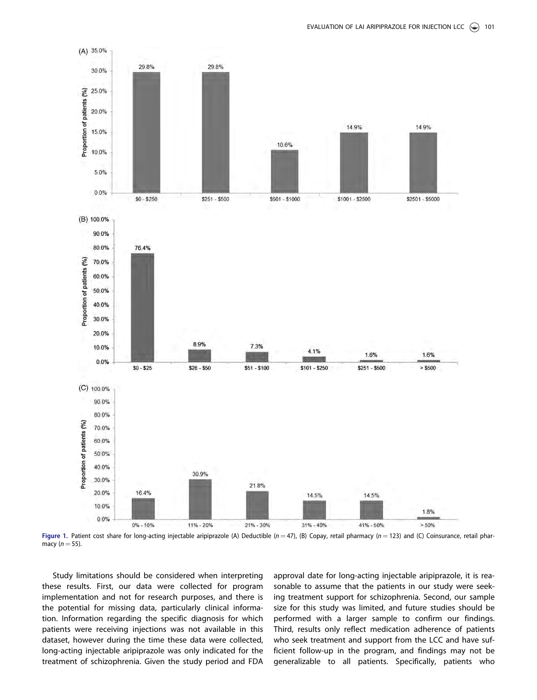<span id="page-4-0"></span>

Figure 1. Patient cost share for long-acting injectable aripiprazole (A) Deductible (n = 47), (B) Copay, retail pharmacy (n = 123) and (C) Coinsurance, retail pharmacy  $(n = 55)$ .

Study limitations should be considered when interpreting these results. First, our data were collected for program implementation and not for research purposes, and there is the potential for missing data, particularly clinical information. Information regarding the specific diagnosis for which patients were receiving injections was not available in this dataset, however during the time these data were collected, long-acting injectable aripiprazole was only indicated for the treatment of schizophrenia. Given the study period and FDA

approval date for long-acting injectable aripiprazole, it is reasonable to assume that the patients in our study were seeking treatment support for schizophrenia. Second, our sample size for this study was limited, and future studies should be performed with a larger sample to confirm our findings. Third, results only reflect medication adherence of patients who seek treatment and support from the LCC and have sufficient follow-up in the program, and findings may not be generalizable to all patients. Specifically, patients who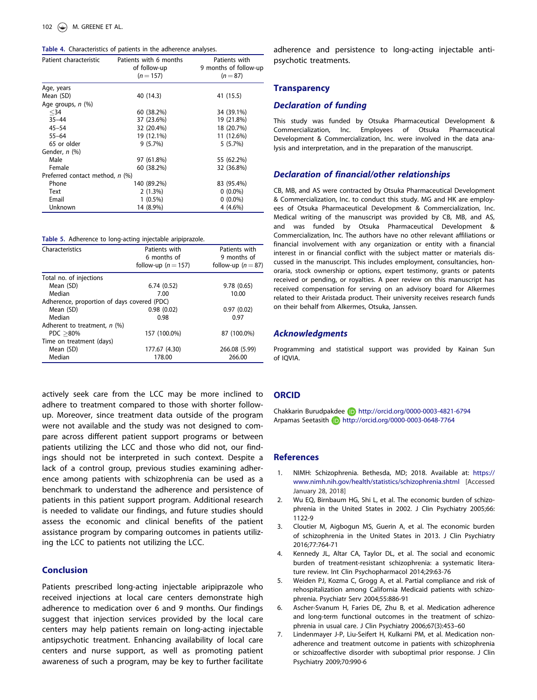|  | Table 4. Characteristics of patients in the adherence analyses |  |  |  |  |  |  |  |
|--|----------------------------------------------------------------|--|--|--|--|--|--|--|
|--|----------------------------------------------------------------|--|--|--|--|--|--|--|

<span id="page-5-0"></span>

| <b>Table 4.</b> Characteristics of patients in the adherence analyses. |                                                       |                                                      |  |  |  |
|------------------------------------------------------------------------|-------------------------------------------------------|------------------------------------------------------|--|--|--|
| Patient characteristic                                                 | Patients with 6 months<br>of follow-up<br>$(n = 157)$ | Patients with<br>9 months of follow-up<br>$(n = 87)$ |  |  |  |
| Age, years                                                             |                                                       |                                                      |  |  |  |
| Mean (SD)                                                              | 40 (14.3)                                             | 41 (15.5)                                            |  |  |  |
| Age groups, $n$ $(\%)$                                                 |                                                       |                                                      |  |  |  |
| $34$                                                                   | 60 (38.2%)                                            | 34 (39.1%)                                           |  |  |  |
| $35 - 44$                                                              | 37 (23.6%)                                            | 19 (21.8%)                                           |  |  |  |
| $45 - 54$                                                              | 32 (20.4%)                                            | 18 (20.7%)                                           |  |  |  |
| $55 - 64$                                                              | 19 (12.1%)                                            | 11 (12.6%)                                           |  |  |  |
| 65 or older                                                            | 9(5.7%)                                               | 5(5.7%)                                              |  |  |  |
| Gender, n (%)                                                          |                                                       |                                                      |  |  |  |
| Male                                                                   | 97 (61.8%)                                            | 55 (62.2%)                                           |  |  |  |
| Female                                                                 | 60 (38.2%)                                            | 32 (36.8%)                                           |  |  |  |
| Preferred contact method, n (%)                                        |                                                       |                                                      |  |  |  |
| Phone                                                                  | 140 (89.2%)                                           | 83 (95.4%)                                           |  |  |  |
| Text                                                                   | 2(1.3%)                                               | $0(0.0\%)$                                           |  |  |  |
| Email                                                                  | $1(0.5\%)$                                            | $0(0.0\%)$                                           |  |  |  |
| Unknown                                                                | 14 (8.9%)                                             | 4 (4.6%)                                             |  |  |  |

Table 5. Adherence to long-acting injectable aripiprazole.

| Characteristics                             | Patients with       | Patients with      |  |  |  |  |
|---------------------------------------------|---------------------|--------------------|--|--|--|--|
|                                             | 6 months of         | 9 months of        |  |  |  |  |
|                                             | follow-up $(n=157)$ | follow-up $(n=87)$ |  |  |  |  |
| Total no. of injections                     |                     |                    |  |  |  |  |
| Mean (SD)                                   | 6.74(0.52)          | 9.78(0.65)         |  |  |  |  |
| Median                                      | 7.00                | 10.00              |  |  |  |  |
| Adherence, proportion of days covered (PDC) |                     |                    |  |  |  |  |
| Mean (SD)                                   | 0.98(0.02)          | 0.97(0.02)         |  |  |  |  |
| Median                                      | 0.98                | 0.97               |  |  |  |  |
| Adherent to treatment, $n$ (%)              |                     |                    |  |  |  |  |
| PDC > 80%                                   | 157 (100.0%)        | 87 (100.0%)        |  |  |  |  |
| Time on treatment (days)                    |                     |                    |  |  |  |  |
| Mean (SD)                                   | 177.67 (4.30)       | 266.08 (5.99)      |  |  |  |  |
| Median                                      | 178.00              | 266.00             |  |  |  |  |

actively seek care from the LCC may be more inclined to adhere to treatment compared to those with shorter followup. Moreover, since treatment data outside of the program were not available and the study was not designed to compare across different patient support programs or between patients utilizing the LCC and those who did not, our findings should not be interpreted in such context. Despite a lack of a control group, previous studies examining adherence among patients with schizophrenia can be used as a benchmark to understand the adherence and persistence of patients in this patient support program. Additional research is needed to validate our findings, and future studies should assess the economic and clinical benefits of the patient assistance program by comparing outcomes in patients utilizing the LCC to patients not utilizing the LCC.

## Conclusion

Patients prescribed long-acting injectable aripiprazole who received injections at local care centers demonstrate high adherence to medication over 6 and 9 months. Our findings suggest that injection services provided by the local care centers may help patients remain on long-acting injectable antipsychotic treatment. Enhancing availability of local care centers and nurse support, as well as promoting patient awareness of such a program, may be key to further facilitate adherence and persistence to long-acting injectable antipsychotic treatments.

## **Transparency**

## Declaration of funding

This study was funded by Otsuka Pharmaceutical Development & Commercialization, Inc. Employees of Otsuka Pharmaceutical Development & Commercialization, Inc. were involved in the data analysis and interpretation, and in the preparation of the manuscript.

#### Declaration of financial/other relationships

CB, MB, and AS were contracted by Otsuka Pharmaceutical Development & Commercialization, Inc. to conduct this study. MG and HK are employees of Otsuka Pharmaceutical Development & Commercialization, Inc. Medical writing of the manuscript was provided by CB, MB, and AS, and was funded by Otsuka Pharmaceutical Development & Commercialization, Inc. The authors have no other relevant affiliations or financial involvement with any organization or entity with a financial interest in or financial conflict with the subject matter or materials discussed in the manuscript. This includes employment, consultancies, honoraria, stock ownership or options, expert testimony, grants or patents received or pending, or royalties. A peer review on this manuscript has received compensation for serving on an advisory board for Alkermes related to their Aristada product. Their university receives research funds on their behalf from Alkermes, Otsuka, Janssen.

## Acknowledgments

Programming and statistical support was provided by Kainan Sun of IQVIA.

## **ORCID**

Chakkarin Burudpakdee (b) http://orcid.org/0000-0003-4821-6794 Arpamas Seetasith http://orcid.org/0000-0003-0648-7764

## **References**

- [1. N](#page-0-0)IMH: Schizophrenia. Bethesda, MD; 2018. Available at: [https://](https://www.nimh.nih.gov/health/statistics/schizophrenia.shtml) [www.nimh.nih.gov/health/statistics/schizophrenia.shtml](https://www.nimh.nih.gov/health/statistics/schizophrenia.shtml) [Accessed January 28, 2018]
- [2. W](#page-0-0)u EQ, Birnbaum HG, Shi L, et al. The economic burden of schizophrenia in the United States in 2002. J Clin Psychiatry 2005;66: 1122-9
- [3. C](#page-0-0)loutier M, Aigbogun MS, Guerin A, et al. The economic burden of schizophrenia in the United States in 2013. J Clin Psychiatry 2016;77:764-71
- [4. K](#page-0-0)ennedy JL, Altar CA, Taylor DL, et al. The social and economic burden of treatment-resistant schizophrenia: a systematic literature review. Int Clin Psychopharmacol 2014;29:63-76
- [5. W](#page-0-0)eiden PJ, Kozma C, Grogg A, et al. Partial compliance and risk of rehospitalization among California Medicaid patients with schizophrenia. Psychiatr Serv 2004;55:886-91
- [6. A](#page-0-0)scher-Svanum H, Faries DE, Zhu B, et al. Medication adherence and long-term functional outcomes in the treatment of schizophrenia in usual care. J Clin Psychiatry 2006;67(3):453–60
- [7. L](#page-0-0)indenmayer J-P, Liu-Seifert H, Kulkarni PM, et al. Medication nonadherence and treatment outcome in patients with schizophrenia or schizoaffective disorder with suboptimal prior response. J Clin Psychiatry 2009;70:990-6